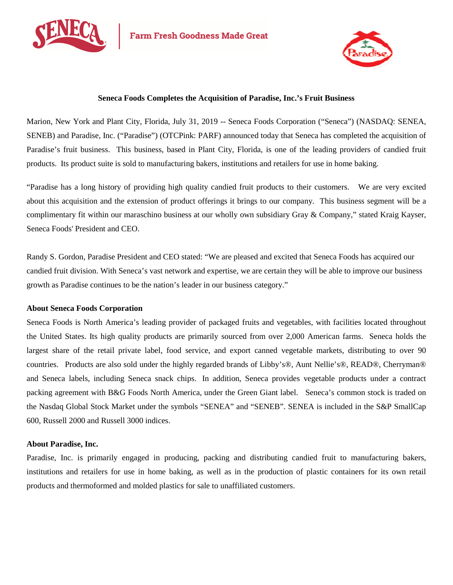



## **Seneca Foods Completes the Acquisition of Paradise, Inc.'s Fruit Business**

Marion, New York and Plant City, Florida, July 31, 2019 -- Seneca Foods Corporation ("Seneca") (NASDAQ: SENEA, SENEB) and Paradise, Inc. ("Paradise") (OTCPink: PARF) announced today that Seneca has completed the acquisition of Paradise's fruit business. This business, based in Plant City, Florida, is one of the leading providers of candied fruit products. Its product suite is sold to manufacturing bakers, institutions and retailers for use in home baking.

"Paradise has a long history of providing high quality candied fruit products to their customers. We are very excited about this acquisition and the extension of product offerings it brings to our company. This business segment will be a complimentary fit within our maraschino business at our wholly own subsidiary Gray & Company," stated Kraig Kayser, Seneca Foods' President and CEO.

Randy S. Gordon, Paradise President and CEO stated: "We are pleased and excited that Seneca Foods has acquired our candied fruit division. With Seneca's vast network and expertise, we are certain they will be able to improve our business growth as Paradise continues to be the nation's leader in our business category."

## **About Seneca Foods Corporation**

Seneca Foods is North America's leading provider of packaged fruits and vegetables, with facilities located throughout the United States. Its high quality products are primarily sourced from over 2,000 American farms. Seneca holds the largest share of the retail private label, food service, and export canned vegetable markets, distributing to over 90 countries. Products are also sold under the highly regarded brands of Libby's®, Aunt Nellie's®, READ®, Cherryman® and Seneca labels, including Seneca snack chips. In addition, Seneca provides vegetable products under a contract packing agreement with B&G Foods North America, under the Green Giant label. Seneca's common stock is traded on the Nasdaq Global Stock Market under the symbols "SENEA" and "SENEB". SENEA is included in the S&P SmallCap 600, Russell 2000 and Russell 3000 indices.

## **About Paradise, Inc.**

Paradise, Inc. is primarily engaged in producing, packing and distributing candied fruit to manufacturing bakers, institutions and retailers for use in home baking, as well as in the production of plastic containers for its own retail products and thermoformed and molded plastics for sale to unaffiliated customers.